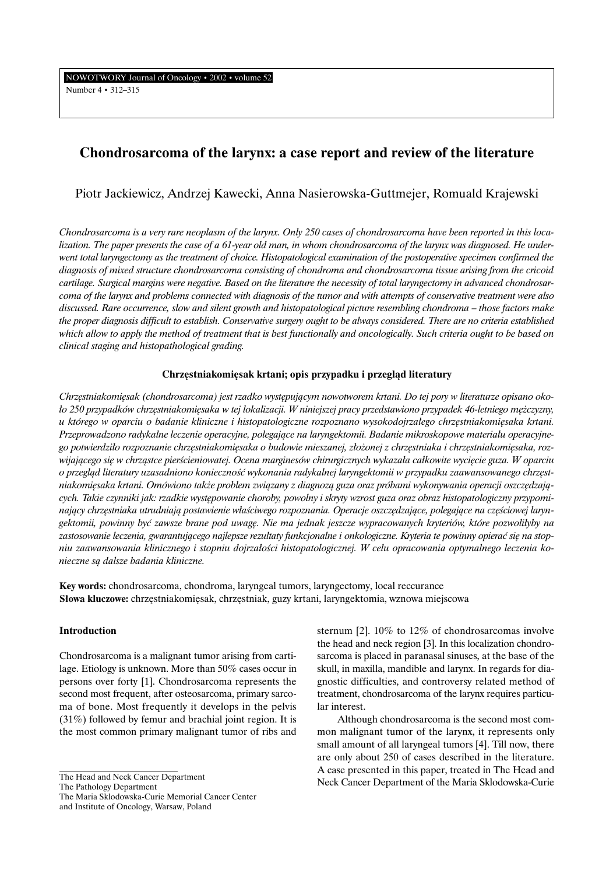NOWOTWORY Journal of Oncology • 2002 • volume 52 Number 4 • 312–315

# **Chondrosarcoma of the larynx: a case report and review of the literature**

Piotr Jackiewicz, Andrzej Kawecki, Anna Nasierowska-Guttmejer, Romuald Krajewski

*Chondrosarcoma is a very rare neoplasm of the larynx. Only 250 cases of chondrosarcoma have been reported in this localization. The paper presents the case of a 61-year old man, in whom chondrosarcoma of the larynx was diagnosed. He underwent total laryngectomy as the treatment of choice. Histopatological examination of the postoperative specimen confirmed the diagnosis of mixed structure chondrosarcoma consisting of chondroma and chondrosarcoma tissue arising from the cricoid cartilage. Surgical margins were negative. Based on the literature the necessity of total laryngectomy in advanced chondrosarcoma of the larynx and problems connected with diagnosis of the tumor and with attempts of conservative treatment were also discussed. Rare occurrence, slow and silent growth and histopatological picture resembling chondroma – those factors make the proper diagnosis difficult to establish. Conservative surgery ought to be always considered. There are no criteria established which allow to apply the method of treatment that is best functionally and oncologically. Such criteria ought to be based on clinical staging and histopathological grading.*

# Chrzęstniakomięsak krtani; opis przypadku i przegląd literatury

*Chrz´stniakomi´sak (chondrosarcoma) jest rzadko wyst´pujàcym nowotworem krtani. Do tej pory w literaturze opisano oko- ∏o 250 przypadków chrz´stniakomi´saka w tej lokalizacji. W niniejszej pracy przedstawiono przypadek 46-letniego m´˝czyzny, u którego w oparciu o badanie kliniczne i histopatologiczne rozpoznano wysokodojrza∏ego chrz´stniakomi´saka krtani. Przeprowadzono radykalne leczenie operacyjne, polegajàce na laryngektomii. Badanie mikroskopowe materia∏u operacyjne*go potwierdziło rozpoznanie chrzęstniakomięsaka o budowie mieszanej, złożonej z chrzęstniaka i chrzęstniakomięsaka, rozwijającego się w chrząstce pierścieniowatej. Ocena marginesów chirurgicznych wykazała całkowite wycięcie guza. W oparciu o przegląd literatury uzasadniono konieczność wykonania radykalnej laryngektomii w przypadku zaawansowanego chrzęst*niakomi´saka krtani. Omówiono tak˝e problem zwiàzany z diagnozà guza oraz próbami wykonywania operacji oszcz´dzajà*cych. Takie czynniki jak: rzadkie występowanie choroby, powolny i skryty wzrost guza oraz obraz histopatologiczny przypomi*nający chrzęstniaka utrudniają postawienie właściwego rozpoznania. Operacje oszczędzające, polegające na częściowej laryngektomii, powinny byç zawsze brane pod uwag´. Nie ma jednak jeszcze wypracowanych kryteriów, które pozwoli∏yby na* zastosowanie leczenia, gwarantującego najlepsze rezultaty funkcjonalne i onkologiczne. Kryteria te powinny opierać się na stop*niu zaawansowania klinicznego i stopniu dojrza∏oÊci histopatologicznej. W celu opracowania optymalnego leczenia konieczne sà dalsze badania kliniczne.*

**Key words:** chondrosarcoma, chondroma, laryngeal tumors, laryngectomy, local reccurance **Słowa kluczowe:** chrzęstniakomięsak, chrzęstniak, guzy krtani, laryngektomia, wznowa miejscowa

## **Introduction**

Chondrosarcoma is a malignant tumor arising from cartilage. Etiology is unknown. More than 50% cases occur in persons over forty [1]. Chondrosarcoma represents the second most frequent, after osteosarcoma, primary sarcoma of bone. Most frequently it develops in the pelvis (31%) followed by femur and brachial joint region. It is the most common primary malignant tumor of ribs and

The Pathology Department

The Maria Sklodowska-Curie Memorial Cancer Center and Institute of Oncology, Warsaw, Poland

sternum [2]. 10% to 12% of chondrosarcomas involve the head and neck region [3]. In this localization chondrosarcoma is placed in paranasal sinuses, at the base of the skull, in maxilla, mandible and larynx. In regards for diagnostic difficulties, and controversy related method of treatment, chondrosarcoma of the larynx requires particular interest.

Although chondrosarcoma is the second most common malignant tumor of the larynx, it represents only small amount of all laryngeal tumors [4]. Till now, there are only about 250 of cases described in the literature. Acase presented in this paper, treated in The Head and Neck Cancer Department of the Maria Sklodowska-Curie

The Head and Neck Cancer Department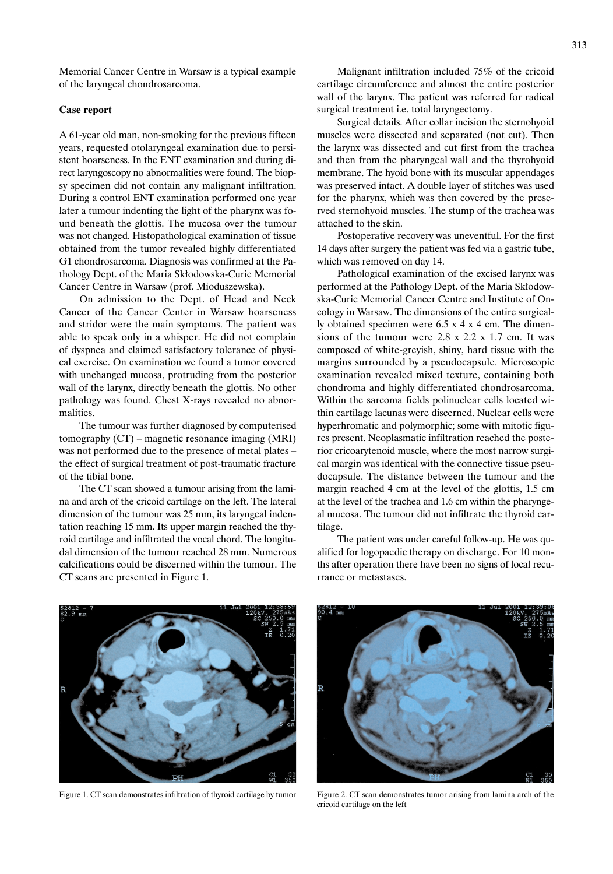Memorial Cancer Centre in Warsaw is a typical example of the laryngeal chondrosarcoma.

# **Case report**

A61-year old man, non-smoking for the previous fifteen years, requested otolaryngeal examination due to persistent hoarseness. In the ENT examination and during direct laryngoscopy no abnormalities were found. The biopsy specimen did not contain any malignant infiltration. During a control ENT examination performed one year later a tumour indenting the light of the pharynx was found beneath the glottis. The mucosa over the tumour was not changed. Histopathological examination of tissue obtained from the tumor revealed highly differentiated G1 chondrosarcoma. Diagnosis was confirmed at the Pathology Dept. of the Maria Skłodowska-Curie Memorial Cancer Centre in Warsaw (prof. Mioduszewska).

On admission to the Dept. of Head and Neck Cancer of the Cancer Center in Warsaw hoarseness and stridor were the main symptoms. The patient was able to speak only in a whisper. He did not complain of dyspnea and claimed satisfactory tolerance of physical exercise. On examination we found a tumor covered with unchanged mucosa, protruding from the posterior wall of the larynx, directly beneath the glottis. No other pathology was found. Chest X-rays revealed no abnormalities.

The tumour was further diagnosed by computerised tomography (CT) – magnetic resonance imaging (MRI) was not performed due to the presence of metal plates – the effect of surgical treatment of post-traumatic fracture of the tibial bone.

The CT scan showed a tumour arising from the lamina and arch of the cricoid cartilage on the left. The lateral dimension of the tumour was 25 mm, its laryngeal indentation reaching 15 mm. Its upper margin reached the thyroid cartilage and infiltrated the vocal chord. The longitudal dimension of the tumour reached 28 mm. Numerous calcifications could be discerned within the tumour. The CT scans are presented in Figure 1.

Malignant infiltration included 75% of the cricoid cartilage circumference and almost the entire posterior wall of the larynx. The patient was referred for radical surgical treatment i.e. total laryngectomy.

Surgical details. After collar incision the sternohyoid muscles were dissected and separated (not cut). Then the larynx was dissected and cut first from the trachea and then from the pharyngeal wall and the thyrohyoid membrane. The hyoid bone with its muscular appendages was preserved intact. A double layer of stitches was used for the pharynx, which was then covered by the preserved sternohyoid muscles. The stump of the trachea was attached to the skin.

Postoperative recovery was uneventful. For the first 14 days after surgery the patient was fed via a gastric tube, which was removed on day 14.

Pathological examination of the excised larynx was performed at the Pathology Dept. of the Maria Skłodowska-Curie Memorial Cancer Centre and Institute of Oncology in Warsaw. The dimensions of the entire surgically obtained specimen were 6.5 x 4 x 4 cm. The dimensions of the tumour were 2.8 x 2.2 x 1.7 cm. It was composed of white-greyish, shiny, hard tissue with the margins surrounded by a pseudocapsule. Microscopic examination revealed mixed texture, containing both chondroma and highly differentiated chondrosarcoma. Within the sarcoma fields polinuclear cells located within cartilage lacunas were discerned. Nuclear cells were hyperhromatic and polymorphic; some with mitotic figures present. Neoplasmatic infiltration reached the posterior cricoarytenoid muscle, where the most narrow surgical margin was identical with the connective tissue pseudocapsule. The distance between the tumour and the margin reached 4 cm at the level of the glottis, 1.5 cm at the level of the trachea and 1.6 cm within the pharyngeal mucosa. The tumour did not infiltrate the thyroid cartilage.

The patient was under careful follow-up. He was qualified for logopaedic therapy on discharge. For 10 months after operation there have been no signs of local recurrance or metastases.





Figure 1. CT scan demonstrates infiltration of thyroid cartilage by tumor Figure 2. CT scan demonstrates tumor arising from lamina arch of the cricoid cartilage on the left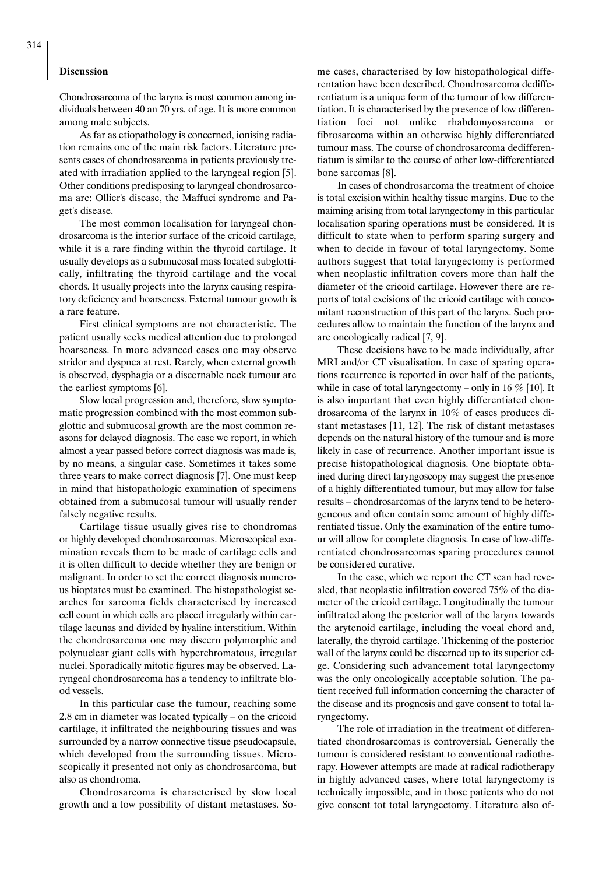#### **Discussion**

Chondrosarcoma of the larynx is most common among individuals between 40 an 70 yrs. of age. It is more common among male subjects.

As far as etiopathology is concerned, ionising radiation remains one of the main risk factors. Literature presents cases of chondrosarcoma in patients previously treated with irradiation applied to the laryngeal region [5]. Other conditions predisposing to laryngeal chondrosarcoma are: Ollier's disease, the Maffuci syndrome and Paget's disease.

The most common localisation for laryngeal chondrosarcoma is the interior surface of the cricoid cartilage, while it is a rare finding within the thyroid cartilage. It usually develops as a submucosal mass located subglottically, infiltrating the thyroid cartilage and the vocal chords. It usually projects into the larynx causing respiratory deficiency and hoarseness. External tumour growth is a rare feature.

First clinical symptoms are not characteristic. The patient usually seeks medical attention due to prolonged hoarseness. In more advanced cases one may observe stridor and dyspnea at rest. Rarely, when external growth is observed, dysphagia or a discernable neck tumour are the earliest symptoms [6].

Slow local progression and, therefore, slow symptomatic progression combined with the most common subglottic and submucosal growth are the most common reasons for delayed diagnosis. The case we report, in which almost a year passed before correct diagnosis was made is, by no means, a singular case. Sometimes it takes some three years to make correct diagnosis [7]. One must keep in mind that histopathologic examination of specimens obtained from a submucosal tumour will usually render falsely negative results.

Cartilage tissue usually gives rise to chondromas or highly developed chondrosarcomas. Microscopical examination reveals them to be made of cartilage cells and it is often difficult to decide whether they are benign or malignant. In order to set the correct diagnosis numerous bioptates must be examined. The histopathologist searches for sarcoma fields characterised by increased cell count in which cells are placed irregularly within cartilage lacunas and divided by hyaline interstitium. Within the chondrosarcoma one may discern polymorphic and polynuclear giant cells with hyperchromatous, irregular nuclei. Sporadically mitotic figures may be observed. Laryngeal chondrosarcoma has a tendency to infiltrate blood vessels.

In this particular case the tumour, reaching some 2.8 cm in diameter was located typically – on the cricoid cartilage, it infiltrated the neighbouring tissues and was surrounded by a narrow connective tissue pseudocapsule, which developed from the surrounding tissues. Microscopically it presented not only as chondrosarcoma, but also as chondroma.

Chondrosarcoma is characterised by slow local growth and a low possibility of distant metastases. Some cases, characterised by low histopathological differentation have been described. Chondrosarcoma dedifferentiatum is a unique form of the tumour of low differentiation. It is characterised by the presence of low differentiation foci not unlike rhabdomyosarcoma or fibrosarcoma within an otherwise highly differentiated tumour mass. The course of chondrosarcoma dedifferentiatum is similar to the course of other low-differentiated bone sarcomas [8].

In cases of chondrosarcoma the treatment of choice is total excision within healthy tissue margins. Due to the maiming arising from total laryngectomy in this particular localisation sparing operations must be considered. It is difficult to state when to perform sparing surgery and when to decide in favour of total laryngectomy. Some authors suggest that total laryngectomy is performed when neoplastic infiltration covers more than half the diameter of the cricoid cartilage. However there are reports of total excisions of the cricoid cartilage with concomitant reconstruction of this part of the larynx. Such procedures allow to maintain the function of the larynx and are oncologically radical [7, 9].

These decisions have to be made individually, after MRI and/or CT visualisation. In case of sparing operations recurrence is reported in over half of the patients, while in case of total laryngectomy – only in 16  $%$  [10]. It is also important that even highly differentiated chondrosarcoma of the larynx in 10% of cases produces distant metastases [11, 12]. The risk of distant metastases depends on the natural history of the tumour and is more likely in case of recurrence. Another important issue is precise histopathological diagnosis. One bioptate obtained during direct laryngoscopy may suggest the presence of a highly differentiated tumour, but may allow for false results – chondrosarcomas of the larynx tend to be heterogeneous and often contain some amount of highly differentiated tissue. Only the examination of the entire tumour will allow for complete diagnosis. In case of low-differentiated chondrosarcomas sparing procedures cannot be considered curative.

In the case, which we report the CT scan had revealed, that neoplastic infiltration covered 75% of the diameter of the cricoid cartilage. Longitudinally the tumour infiltrated along the posterior wall of the larynx towards the arytenoid cartilage, including the vocal chord and, laterally, the thyroid cartilage. Thickening of the posterior wall of the larynx could be discerned up to its superior edge. Considering such advancement total laryngectomy was the only oncologically acceptable solution. The patient received full information concerning the character of the disease and its prognosis and gave consent to total laryngectomy.

The role of irradiation in the treatment of differentiated chondrosarcomas is controversial. Generally the tumour is considered resistant to conventional radiotherapy. However attempts are made at radical radiotherapy in highly advanced cases, where total laryngectomy is technically impossible, and in those patients who do not give consent tot total laryngectomy. Literature also of